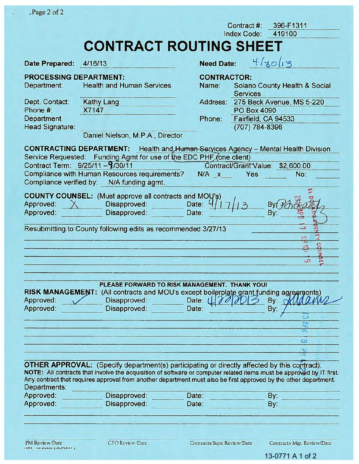ä.

|                                                                                  |                                                                                                                                                                                                                                                                                                                                                 | Contract #:                                                                                                          | 396-F1311                                                 |
|----------------------------------------------------------------------------------|-------------------------------------------------------------------------------------------------------------------------------------------------------------------------------------------------------------------------------------------------------------------------------------------------------------------------------------------------|----------------------------------------------------------------------------------------------------------------------|-----------------------------------------------------------|
|                                                                                  |                                                                                                                                                                                                                                                                                                                                                 | Index Code:                                                                                                          | 419100                                                    |
|                                                                                  | <b>CONTRACT ROUTING SHEET</b>                                                                                                                                                                                                                                                                                                                   |                                                                                                                      |                                                           |
| <b>Date Prepared:</b>                                                            | 4/16/13                                                                                                                                                                                                                                                                                                                                         | <b>Need Date:</b>                                                                                                    | 4/3013                                                    |
| <b>PROCESSING DEPARTMENT:</b><br><b>Health and Human Services</b><br>Department: |                                                                                                                                                                                                                                                                                                                                                 | <b>CONTRACTOR:</b><br>Name:                                                                                          | Solano County Health & Social                             |
| Dept. Contact:<br>Phone #:<br>Department<br><b>Head Signature:</b>               | <b>Kathy Lang</b><br>X7147                                                                                                                                                                                                                                                                                                                      | <b>Services</b><br>PO Box 4090<br>Phone:                                                                             | Address: 275 Beck Avenue, MS 5-220<br>Fairfield, CA 94533 |
|                                                                                  | Daniel Nielson, M.P.A., Director                                                                                                                                                                                                                                                                                                                |                                                                                                                      | (707) 784-8396                                            |
|                                                                                  | <b>CONTRACTING DEPARTMENT:</b><br>Service Requested: Funding Agmt for use of the EDC PHF (one client)<br>Contract Term: 9/25/11-9/30/11<br>Compliance with Human Resources requirements?<br>Compliance verified by: N/A funding agmt.                                                                                                           | Health and Human Services Agency - Mental Health Division<br>Contract/Grant Value: \$2,600.00<br>$N/A \times$<br>Yes | No:                                                       |
| Approved:<br>Approved:                                                           | <b>COUNTY COUNSEL:</b> (Must approve all contracts and MOU's)<br>Disapproved:<br>Disapproved:                                                                                                                                                                                                                                                   | Date:<br>Date:                                                                                                       | By<br>By:                                                 |
|                                                                                  | Resubmitting to County following edits as recommended 3/27/13                                                                                                                                                                                                                                                                                   |                                                                                                                      |                                                           |
|                                                                                  |                                                                                                                                                                                                                                                                                                                                                 |                                                                                                                      | ュ<br>풀                                                    |
|                                                                                  |                                                                                                                                                                                                                                                                                                                                                 |                                                                                                                      | ō                                                         |
|                                                                                  |                                                                                                                                                                                                                                                                                                                                                 |                                                                                                                      | ڝ<br>$\mathbf{m}$                                         |
|                                                                                  |                                                                                                                                                                                                                                                                                                                                                 |                                                                                                                      |                                                           |
| <b>RISK MANAGEMENT:</b>                                                          | PLEASE FORWARD TO RISK MANAGEMENT. THANK YOU!<br>(All contracts and MOU's except boilerplate grant funding agreements)                                                                                                                                                                                                                          | Date:                                                                                                                |                                                           |
|                                                                                  | Disapproved:<br>Disapproved:                                                                                                                                                                                                                                                                                                                    | Date:                                                                                                                | By:<br>By:<br>ట<br>h                                      |
|                                                                                  |                                                                                                                                                                                                                                                                                                                                                 |                                                                                                                      | ΞŪ                                                        |
|                                                                                  |                                                                                                                                                                                                                                                                                                                                                 |                                                                                                                      | $\infty$                                                  |
|                                                                                  |                                                                                                                                                                                                                                                                                                                                                 |                                                                                                                      | ాం                                                        |
|                                                                                  | <b>OTHER APPROVAL:</b> (Specify department(s) participating or directly affected by this contract).<br>NOTE: All contracts that involve the acquisition of software or computer related items must be approved by IT first.<br>Any contract that requires approval from another department must also be first approved by the other department. |                                                                                                                      |                                                           |
| Approved:<br>Approved:<br>Departments:<br>Approved:                              | Disapproved:                                                                                                                                                                                                                                                                                                                                    | Date:                                                                                                                | By:                                                       |

IM Review/Date

CFO Review/Date Contracts Supe Review/Date Contracts Mgr. Review/Date

## 13-0771 A 1 of 2